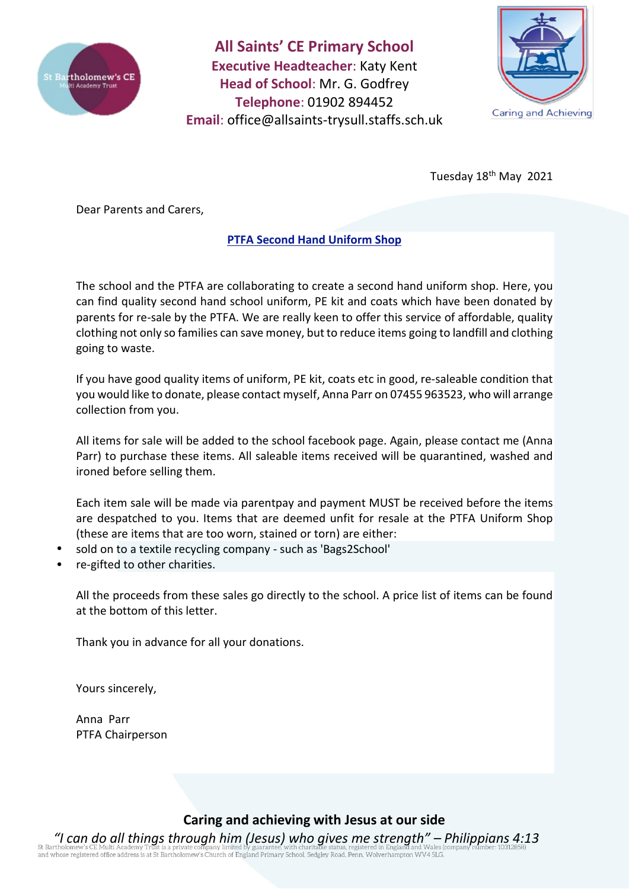

**All Saints' CE Primary School Executive Headteacher**: Katy Kent **Head of School**: Mr. G. Godfrey **Telephone**: 01902 894452 **Email**: [office@allsaints-trysull.staffs.sch.uk](mailto:office@allsaints-trysull.staffs.sch.uk)



Tuesday 18<sup>th</sup> May 2021

Dear Parents and Carers,

# **PTFA Second Hand Uniform Shop**

The school and the PTFA are collaborating to create a second hand uniform shop. Here, you can find quality second hand school uniform, PE kit and coats which have been donated by parents for re-sale by the PTFA. We are really keen to offer this service of affordable, quality clothing not only so families can save money, but to reduce items going to landfill and clothing going to waste.

If you have good quality items of uniform, PE kit, coats etc in good, re-saleable condition that you would like to donate, please contact myself, Anna Parr on 07455 963523, who will arrange collection from you.

All items for sale will be added to the school facebook page. Again, please contact me (Anna Parr) to purchase these items. All saleable items received will be quarantined, washed and ironed before selling them.

Each item sale will be made via parentpay and payment MUST be received before the items are despatched to you. Items that are deemed unfit for resale at the PTFA Uniform Shop (these are items that are too worn, stained or torn) are either:

- sold on to a textile recycling company such as 'Bags2School'
- re-gifted to other charities.

All the proceeds from these sales go directly to the school. A price list of items can be found at the bottom of this letter.

Thank you in advance for all your donations.

Yours sincerely,

Anna Parr PTFA Chairperson

**Caring and achieving with Jesus at our side**

*"I can do all things through him (Jesus) who gives me strength" – Philippians 4:13* of a discovering of the discovering in the product of England Primary School, Sedgley Road, Penn, Wolverhampton WV4 5LG.<br>and whose registered office address is at St Bartholomew's Church of England Primary School, Sedgley